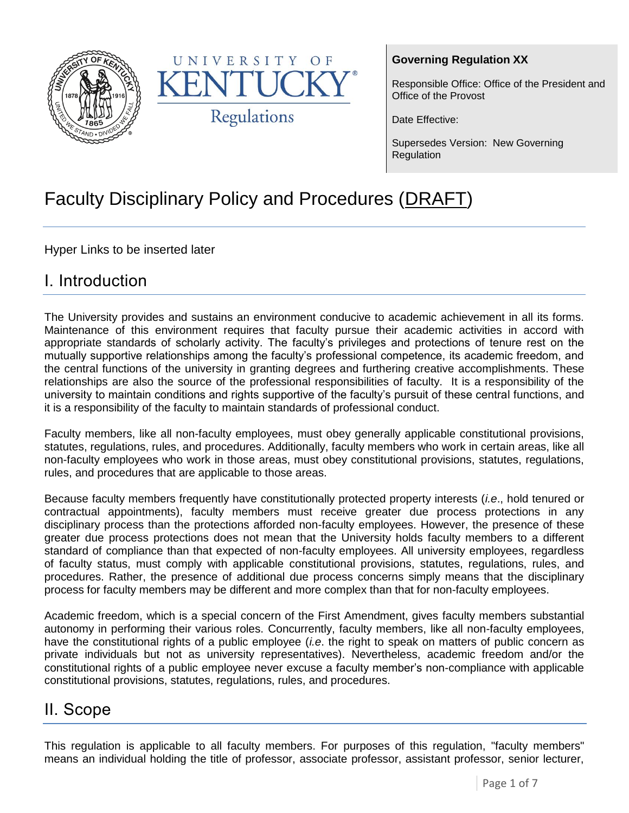



### **Governing Regulation XX**

Responsible Office: Office of the President and Office of the Provost

Date Effective:

Supersedes Version: New Governing Regulation

# Faculty Disciplinary Policy and Procedures (DRAFT)

Hyper Links to be inserted later

### I. Introduction

The University provides and sustains an environment conducive to academic achievement in all its forms. Maintenance of this environment requires that faculty pursue their academic activities in accord with appropriate standards of scholarly activity. The faculty's privileges and protections of tenure rest on the mutually supportive relationships among the faculty's professional competence, its academic freedom, and the central functions of the university in granting degrees and furthering creative accomplishments. These relationships are also the source of the professional responsibilities of faculty. It is a responsibility of the university to maintain conditions and rights supportive of the faculty's pursuit of these central functions, and it is a responsibility of the faculty to maintain standards of professional conduct.

Faculty members, like all non-faculty employees, must obey generally applicable constitutional provisions, statutes, regulations, rules, and procedures. Additionally, faculty members who work in certain areas, like all non-faculty employees who work in those areas, must obey constitutional provisions, statutes, regulations, rules, and procedures that are applicable to those areas.

Because faculty members frequently have constitutionally protected property interests (*i.e*., hold tenured or contractual appointments), faculty members must receive greater due process protections in any disciplinary process than the protections afforded non-faculty employees. However, the presence of these greater due process protections does not mean that the University holds faculty members to a different standard of compliance than that expected of non-faculty employees. All university employees, regardless of faculty status, must comply with applicable constitutional provisions, statutes, regulations, rules, and procedures. Rather, the presence of additional due process concerns simply means that the disciplinary process for faculty members may be different and more complex than that for non-faculty employees.

Academic freedom, which is a special concern of the First Amendment, gives faculty members substantial autonomy in performing their various roles. Concurrently, faculty members, like all non-faculty employees, have the constitutional rights of a public employee (*i.e*. the right to speak on matters of public concern as private individuals but not as university representatives). Nevertheless, academic freedom and/or the constitutional rights of a public employee never excuse a faculty member's non-compliance with applicable constitutional provisions, statutes, regulations, rules, and procedures.

### II. Scope

This regulation is applicable to all faculty members. For purposes of this regulation, "faculty members" means an individual holding the title of professor, associate professor, assistant professor, senior lecturer,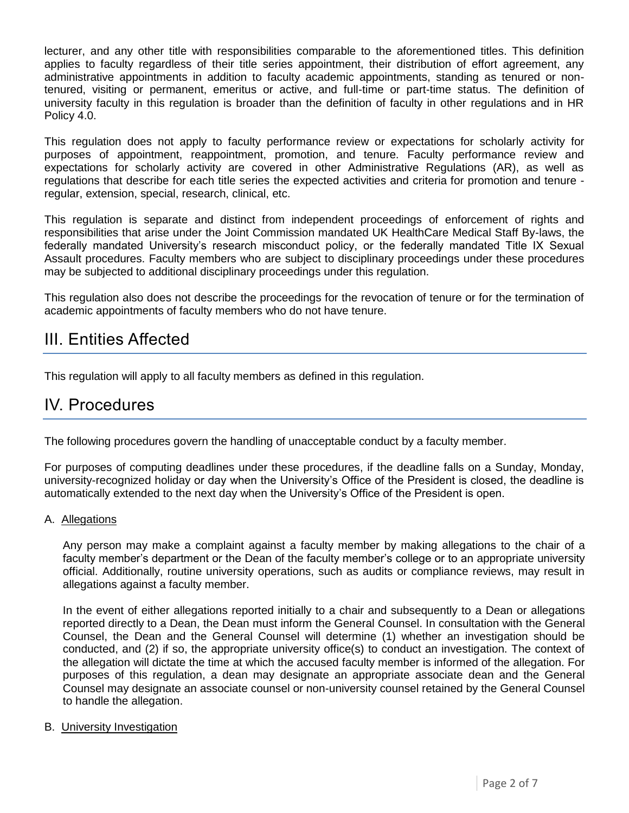lecturer, and any other title with responsibilities comparable to the aforementioned titles. This definition applies to faculty regardless of their title series appointment, their distribution of effort agreement, any administrative appointments in addition to faculty academic appointments, standing as tenured or nontenured, visiting or permanent, emeritus or active, and full-time or part-time status. The definition of university faculty in this regulation is broader than the definition of faculty in other regulations and in HR Policy 4.0.

This regulation does not apply to faculty performance review or expectations for scholarly activity for purposes of appointment, reappointment, promotion, and tenure. Faculty performance review and expectations for scholarly activity are covered in other Administrative Regulations (AR), as well as regulations that describe for each title series the expected activities and criteria for promotion and tenure regular, extension, special, research, clinical, etc.

This regulation is separate and distinct from independent proceedings of enforcement of rights and responsibilities that arise under the Joint Commission mandated UK HealthCare Medical Staff By-laws, the federally mandated University's research misconduct policy, or the federally mandated Title IX Sexual Assault procedures. Faculty members who are subject to disciplinary proceedings under these procedures may be subjected to additional disciplinary proceedings under this regulation.

This regulation also does not describe the proceedings for the revocation of tenure or for the termination of academic appointments of faculty members who do not have tenure.

### III. Entities Affected

This regulation will apply to all faculty members as defined in this regulation.

### IV. Procedures

The following procedures govern the handling of unacceptable conduct by a faculty member.

For purposes of computing deadlines under these procedures, if the deadline falls on a Sunday, Monday, university-recognized holiday or day when the University's Office of the President is closed, the deadline is automatically extended to the next day when the University's Office of the President is open.

#### A. Allegations

Any person may make a complaint against a faculty member by making allegations to the chair of a faculty member's department or the Dean of the faculty member's college or to an appropriate university official. Additionally, routine university operations, such as audits or compliance reviews, may result in allegations against a faculty member.

In the event of either allegations reported initially to a chair and subsequently to a Dean or allegations reported directly to a Dean, the Dean must inform the General Counsel. In consultation with the General Counsel, the Dean and the General Counsel will determine (1) whether an investigation should be conducted, and (2) if so, the appropriate university office(s) to conduct an investigation. The context of the allegation will dictate the time at which the accused faculty member is informed of the allegation. For purposes of this regulation, a dean may designate an appropriate associate dean and the General Counsel may designate an associate counsel or non-university counsel retained by the General Counsel to handle the allegation.

#### B. University Investigation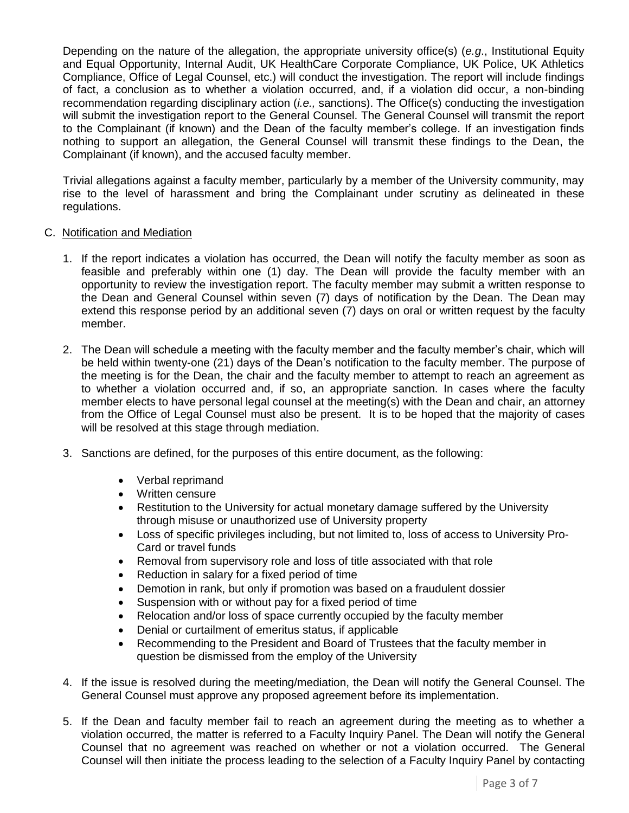Depending on the nature of the allegation, the appropriate university office(s) (*e.g*., Institutional Equity and Equal Opportunity, Internal Audit, UK HealthCare Corporate Compliance, UK Police, UK Athletics Compliance, Office of Legal Counsel, etc.) will conduct the investigation. The report will include findings of fact, a conclusion as to whether a violation occurred, and, if a violation did occur, a non-binding recommendation regarding disciplinary action (*i.e.,* sanctions). The Office(s) conducting the investigation will submit the investigation report to the General Counsel. The General Counsel will transmit the report to the Complainant (if known) and the Dean of the faculty member's college. If an investigation finds nothing to support an allegation, the General Counsel will transmit these findings to the Dean, the Complainant (if known), and the accused faculty member.

Trivial allegations against a faculty member, particularly by a member of the University community, may rise to the level of harassment and bring the Complainant under scrutiny as delineated in these regulations.

#### C. Notification and Mediation

- 1. If the report indicates a violation has occurred, the Dean will notify the faculty member as soon as feasible and preferably within one (1) day. The Dean will provide the faculty member with an opportunity to review the investigation report. The faculty member may submit a written response to the Dean and General Counsel within seven (7) days of notification by the Dean. The Dean may extend this response period by an additional seven (7) days on oral or written request by the faculty member.
- 2. The Dean will schedule a meeting with the faculty member and the faculty member's chair, which will be held within twenty-one (21) days of the Dean's notification to the faculty member. The purpose of the meeting is for the Dean, the chair and the faculty member to attempt to reach an agreement as to whether a violation occurred and, if so, an appropriate sanction. In cases where the faculty member elects to have personal legal counsel at the meeting(s) with the Dean and chair, an attorney from the Office of Legal Counsel must also be present. It is to be hoped that the majority of cases will be resolved at this stage through mediation.
- 3. Sanctions are defined, for the purposes of this entire document, as the following:
	- Verbal reprimand
	- Written censure
	- Restitution to the University for actual monetary damage suffered by the University through misuse or unauthorized use of University property
	- Loss of specific privileges including, but not limited to, loss of access to University Pro-Card or travel funds
	- Removal from supervisory role and loss of title associated with that role
	- Reduction in salary for a fixed period of time
	- Demotion in rank, but only if promotion was based on a fraudulent dossier
	- Suspension with or without pay for a fixed period of time
	- Relocation and/or loss of space currently occupied by the faculty member
	- Denial or curtailment of emeritus status, if applicable
	- Recommending to the President and Board of Trustees that the faculty member in question be dismissed from the employ of the University
- 4. If the issue is resolved during the meeting/mediation, the Dean will notify the General Counsel. The General Counsel must approve any proposed agreement before its implementation.
- 5. If the Dean and faculty member fail to reach an agreement during the meeting as to whether a violation occurred, the matter is referred to a Faculty Inquiry Panel. The Dean will notify the General Counsel that no agreement was reached on whether or not a violation occurred. The General Counsel will then initiate the process leading to the selection of a Faculty Inquiry Panel by contacting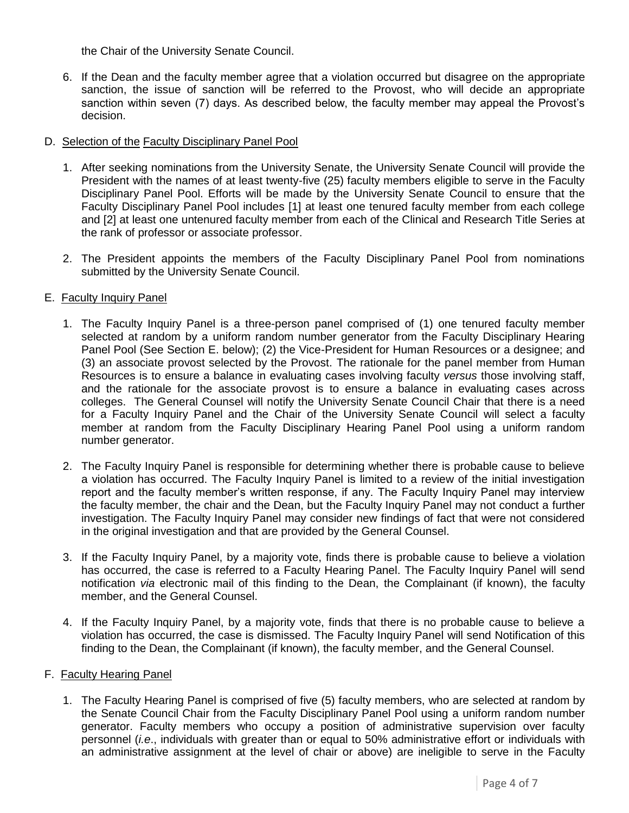the Chair of the University Senate Council.

6. If the Dean and the faculty member agree that a violation occurred but disagree on the appropriate sanction, the issue of sanction will be referred to the Provost, who will decide an appropriate sanction within seven (7) days. As described below, the faculty member may appeal the Provost's decision.

#### D. Selection of the Faculty Disciplinary Panel Pool

- 1. After seeking nominations from the University Senate, the University Senate Council will provide the President with the names of at least twenty-five (25) faculty members eligible to serve in the Faculty Disciplinary Panel Pool. Efforts will be made by the University Senate Council to ensure that the Faculty Disciplinary Panel Pool includes [1] at least one tenured faculty member from each college and [2] at least one untenured faculty member from each of the Clinical and Research Title Series at the rank of professor or associate professor.
- 2. The President appoints the members of the Faculty Disciplinary Panel Pool from nominations submitted by the University Senate Council.

#### E. Faculty Inquiry Panel

- 1. The Faculty Inquiry Panel is a three-person panel comprised of (1) one tenured faculty member selected at random by a uniform random number generator from the Faculty Disciplinary Hearing Panel Pool (See Section E. below); (2) the Vice-President for Human Resources or a designee; and (3) an associate provost selected by the Provost. The rationale for the panel member from Human Resources is to ensure a balance in evaluating cases involving faculty *versus* those involving staff, and the rationale for the associate provost is to ensure a balance in evaluating cases across colleges. The General Counsel will notify the University Senate Council Chair that there is a need for a Faculty Inquiry Panel and the Chair of the University Senate Council will select a faculty member at random from the Faculty Disciplinary Hearing Panel Pool using a uniform random number generator.
- 2. The Faculty Inquiry Panel is responsible for determining whether there is probable cause to believe a violation has occurred. The Faculty Inquiry Panel is limited to a review of the initial investigation report and the faculty member's written response, if any. The Faculty Inquiry Panel may interview the faculty member, the chair and the Dean, but the Faculty Inquiry Panel may not conduct a further investigation. The Faculty Inquiry Panel may consider new findings of fact that were not considered in the original investigation and that are provided by the General Counsel.
- 3. If the Faculty Inquiry Panel, by a majority vote, finds there is probable cause to believe a violation has occurred, the case is referred to a Faculty Hearing Panel. The Faculty Inquiry Panel will send notification *via* electronic mail of this finding to the Dean, the Complainant (if known), the faculty member, and the General Counsel.
- 4. If the Faculty Inquiry Panel, by a majority vote, finds that there is no probable cause to believe a violation has occurred, the case is dismissed. The Faculty Inquiry Panel will send Notification of this finding to the Dean, the Complainant (if known), the faculty member, and the General Counsel.

#### F. Faculty Hearing Panel

1. The Faculty Hearing Panel is comprised of five (5) faculty members, who are selected at random by the Senate Council Chair from the Faculty Disciplinary Panel Pool using a uniform random number generator. Faculty members who occupy a position of administrative supervision over faculty personnel (*i.e*., individuals with greater than or equal to 50% administrative effort or individuals with an administrative assignment at the level of chair or above) are ineligible to serve in the Faculty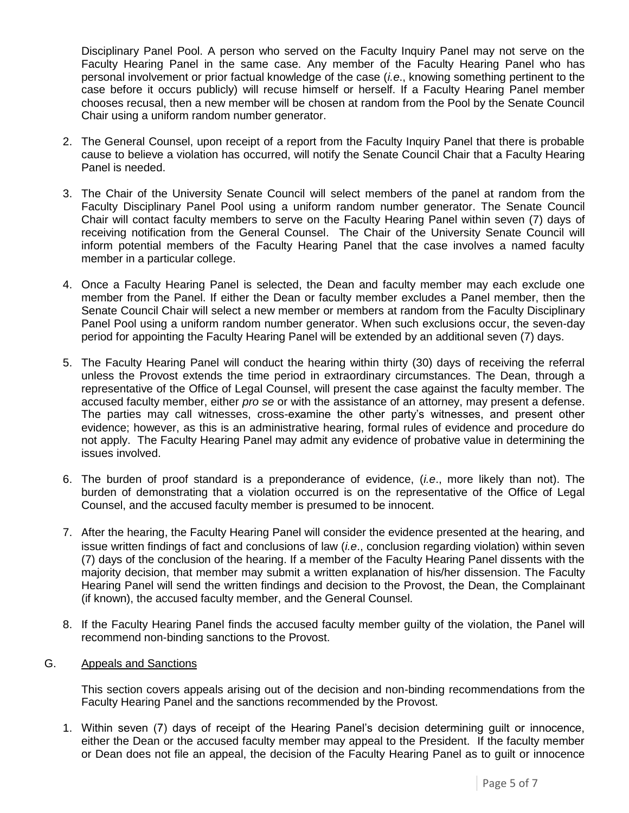Disciplinary Panel Pool. A person who served on the Faculty Inquiry Panel may not serve on the Faculty Hearing Panel in the same case. Any member of the Faculty Hearing Panel who has personal involvement or prior factual knowledge of the case (*i.e*., knowing something pertinent to the case before it occurs publicly) will recuse himself or herself. If a Faculty Hearing Panel member chooses recusal, then a new member will be chosen at random from the Pool by the Senate Council Chair using a uniform random number generator.

- 2. The General Counsel, upon receipt of a report from the Faculty Inquiry Panel that there is probable cause to believe a violation has occurred, will notify the Senate Council Chair that a Faculty Hearing Panel is needed.
- 3. The Chair of the University Senate Council will select members of the panel at random from the Faculty Disciplinary Panel Pool using a uniform random number generator. The Senate Council Chair will contact faculty members to serve on the Faculty Hearing Panel within seven (7) days of receiving notification from the General Counsel. The Chair of the University Senate Council will inform potential members of the Faculty Hearing Panel that the case involves a named faculty member in a particular college.
- 4. Once a Faculty Hearing Panel is selected, the Dean and faculty member may each exclude one member from the Panel. If either the Dean or faculty member excludes a Panel member, then the Senate Council Chair will select a new member or members at random from the Faculty Disciplinary Panel Pool using a uniform random number generator. When such exclusions occur, the seven-day period for appointing the Faculty Hearing Panel will be extended by an additional seven (7) days.
- 5. The Faculty Hearing Panel will conduct the hearing within thirty (30) days of receiving the referral unless the Provost extends the time period in extraordinary circumstances. The Dean, through a representative of the Office of Legal Counsel, will present the case against the faculty member. The accused faculty member, either *pro se* or with the assistance of an attorney, may present a defense. The parties may call witnesses, cross-examine the other party's witnesses, and present other evidence; however, as this is an administrative hearing, formal rules of evidence and procedure do not apply. The Faculty Hearing Panel may admit any evidence of probative value in determining the issues involved.
- 6. The burden of proof standard is a preponderance of evidence, (*i.e*., more likely than not). The burden of demonstrating that a violation occurred is on the representative of the Office of Legal Counsel, and the accused faculty member is presumed to be innocent.
- 7. After the hearing, the Faculty Hearing Panel will consider the evidence presented at the hearing, and issue written findings of fact and conclusions of law (*i.e*., conclusion regarding violation) within seven (7) days of the conclusion of the hearing. If a member of the Faculty Hearing Panel dissents with the majority decision, that member may submit a written explanation of his/her dissension. The Faculty Hearing Panel will send the written findings and decision to the Provost, the Dean, the Complainant (if known), the accused faculty member, and the General Counsel.
- 8. If the Faculty Hearing Panel finds the accused faculty member guilty of the violation, the Panel will recommend non-binding sanctions to the Provost.
- G. Appeals and Sanctions

This section covers appeals arising out of the decision and non-binding recommendations from the Faculty Hearing Panel and the sanctions recommended by the Provost.

1. Within seven (7) days of receipt of the Hearing Panel's decision determining guilt or innocence, either the Dean or the accused faculty member may appeal to the President. If the faculty member or Dean does not file an appeal, the decision of the Faculty Hearing Panel as to guilt or innocence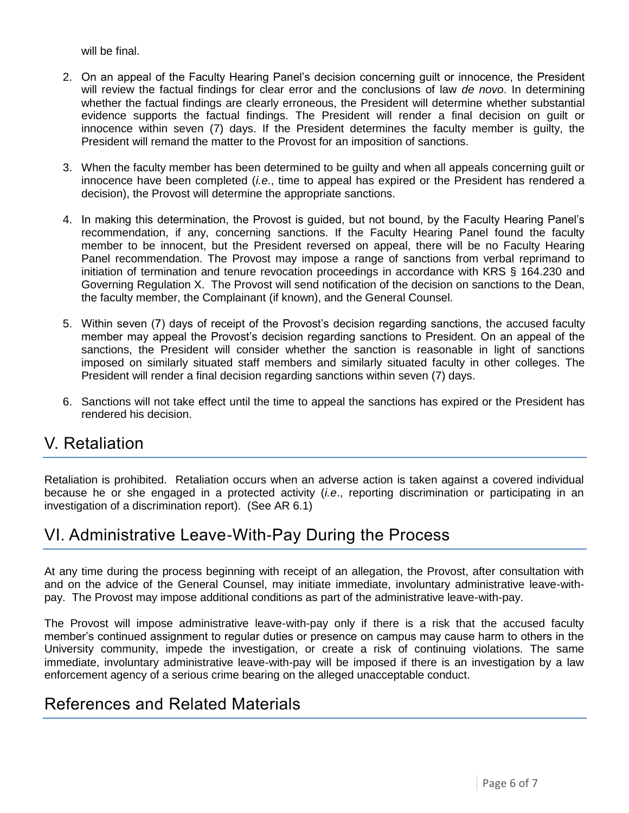will be final.

- 2. On an appeal of the Faculty Hearing Panel's decision concerning guilt or innocence, the President will review the factual findings for clear error and the conclusions of law *de novo*. In determining whether the factual findings are clearly erroneous, the President will determine whether substantial evidence supports the factual findings. The President will render a final decision on guilt or innocence within seven (7) days. If the President determines the faculty member is guilty, the President will remand the matter to the Provost for an imposition of sanctions.
- 3. When the faculty member has been determined to be guilty and when all appeals concerning guilt or innocence have been completed (*i.e*., time to appeal has expired or the President has rendered a decision), the Provost will determine the appropriate sanctions.
- 4. In making this determination, the Provost is guided, but not bound, by the Faculty Hearing Panel's recommendation, if any, concerning sanctions. If the Faculty Hearing Panel found the faculty member to be innocent, but the President reversed on appeal, there will be no Faculty Hearing Panel recommendation. The Provost may impose a range of sanctions from verbal reprimand to initiation of termination and tenure revocation proceedings in accordance with KRS § 164.230 and Governing Regulation X. The Provost will send notification of the decision on sanctions to the Dean, the faculty member, the Complainant (if known), and the General Counsel.
- 5. Within seven (7) days of receipt of the Provost's decision regarding sanctions, the accused faculty member may appeal the Provost's decision regarding sanctions to President. On an appeal of the sanctions, the President will consider whether the sanction is reasonable in light of sanctions imposed on similarly situated staff members and similarly situated faculty in other colleges. The President will render a final decision regarding sanctions within seven (7) days.
- 6. Sanctions will not take effect until the time to appeal the sanctions has expired or the President has rendered his decision.

### V. Retaliation

Retaliation is prohibited. Retaliation occurs when an adverse action is taken against a covered individual because he or she engaged in a protected activity (*i.e*., reporting discrimination or participating in an investigation of a discrimination report). (See AR 6.1)

## VI. Administrative Leave-With-Pay During the Process

At any time during the process beginning with receipt of an allegation, the Provost, after consultation with and on the advice of the General Counsel, may initiate immediate, involuntary administrative leave-withpay. The Provost may impose additional conditions as part of the administrative leave-with-pay.

The Provost will impose administrative leave-with-pay only if there is a risk that the accused faculty member's continued assignment to regular duties or presence on campus may cause harm to others in the University community, impede the investigation, or create a risk of continuing violations. The same immediate, involuntary administrative leave-with-pay will be imposed if there is an investigation by a law enforcement agency of a serious crime bearing on the alleged unacceptable conduct.

### References and Related Materials